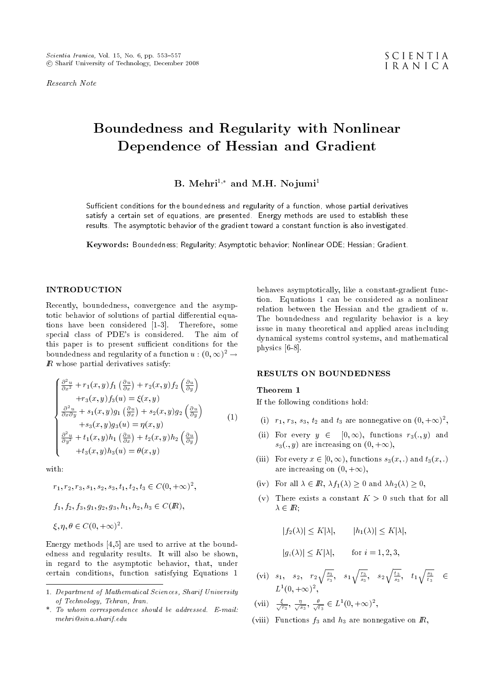Research Note

# Boundedness and Regularity with Nonlinear Dependence of Hessian and Gradient

B. Mehri<sup>1,\*</sup> and M.H. Nojumi<sup>1</sup>

Sufficient conditions for the boundedness and regularity of a function, whose partial derivatives satisfy a certain set of equations, are presented. Energy methods are used to establish these results. The asymptotic behavior of the gradient toward a constant function is also investigated.

Keywords: Boundedness; Regularity; Asymptotic behavior; Nonlinear ODE; Hessian; Gradient.

## INTRODUCTION

Recently, boundedness, convergence and the asymptotic behavior of solutions of partial differential equations have been considered [1-3]. Therefore, some special class of PDE's is considered. The aim of this paper is to present sufficient conditions for the boundedness and regularity of a function  $u : (0, \infty)^2 \to$  $\mathbb R$  whose partial derivatives satisfy:

$$
\begin{cases}\n\frac{\partial^2 u}{\partial x^2} + r_1(x, y) f_1 \left(\frac{\partial u}{\partial x}\right) + r_2(x, y) f_2 \left(\frac{\partial u}{\partial y}\right) \\
+r_3(x, y) f_3(u) = \xi(x, y) \\
\frac{\partial^2 u}{\partial x \partial y} + s_1(x, y) g_1 \left(\frac{\partial u}{\partial x}\right) + s_2(x, y) g_2 \left(\frac{\partial u}{\partial y}\right) \\
+s_3(x, y) g_3(u) = \eta(x, y) \\
\frac{\partial^2 u}{\partial y^2} + t_1(x, y) h_1 \left(\frac{\partial u}{\partial x}\right) + t_2(x, y) h_2 \left(\frac{\partial u}{\partial y}\right) \\
+t_3(x, y) h_3(u) = \theta(x, y)\n\end{cases}
$$
\n(1)

with:

$$
r_1, r_2, r_3, s_1, s_2, s_3, t_1, t_2, t_3 \in C(0, +\infty)^2,
$$
  

$$
f_1, f_2, f_3, g_1, g_2, g_3, h_1, h_2, h_3 \in C(\mathbb{R}),
$$
  

$$
\xi, \eta, \theta \in C(0, +\infty)^2.
$$

Energy methods [4,5] are used to arrive at the boundedness and regularity results. It will also be shown, in regard to the asymptotic behavior, that, under certain conditions, function satisfying Equations 1 behaves asymptotically, like a constant-gradient function. Equations 1 can be considered as a nonlinear relation between the Hessian and the gradient of  $u$ . The boundedness and regularity behavior is a key issue in many theoretical and applied areas including dynamical systems control systems, and mathematical physics [6-8].

#### RESULTS ON BOUNDEDNESS

#### Theorem 1

If the following conditions hold:

- (i)  $r_1$ ,  $r_3$ ,  $s_3$ ,  $t_2$  and  $t_3$  are nonnegative on  $(0, +\infty)^2$ ,
- (ii) For every  $y \in [0, \infty)$ , functions  $r_3(., y)$  and  $s_3(., y)$  are increasing on  $(0, +\infty)$ ,
- (iii) For every  $x \in [0, \infty)$ , functions  $s_3(x, \cdot)$  and  $t_3(x, \cdot)$ are increasing on  $(0, +\infty)$ ,
- (iv) For all  $\lambda \in \mathbb{R}$ ,  $\lambda f_1(\lambda) \geq 0$  and  $\lambda h_2(\lambda) \geq 0$ ,
- (v) There exists a constant  $K > 0$  such that for all  $\lambda \in \mathbb{R}$ ;

$$
|f_2(\lambda)| \le K|\lambda|, \qquad |h_1(\lambda)| \le K|\lambda|,
$$
  

$$
|g_i(\lambda)| \le K|\lambda|, \qquad \text{for } i = 1, 2, 3,
$$

(vi) 
$$
s_1
$$
,  $s_2$ ,  $r_2 \sqrt{\frac{s_3}{r_3}}$ ,  $s_1 \sqrt{\frac{r_3}{s_3}}$ ,  $s_2 \sqrt{\frac{t_3}{s_3}}$ ,  $t_1 \sqrt{\frac{s_3}{t_3}}$   $\in$   
 $L^1(0, +\infty)^2$ ,

(vii) 
$$
\frac{\xi}{\sqrt{r_3}}
$$
,  $\frac{\eta}{\sqrt{s_3}}$ ,  $\frac{\theta}{\sqrt{t_3}} \in L^1(0, +\infty)^2$ ,

(viii) Functions  $f_3$  and  $h_3$  are nonnegative on  $\mathbb{R}$ ,

<sup>1.</sup> Department of Mathematical Sciences, Sharif University of Technology, Tehran, Iran.

<sup>\*.</sup> To whom correspondence should be addressed. E-mail: mehri@sina.sharif.edu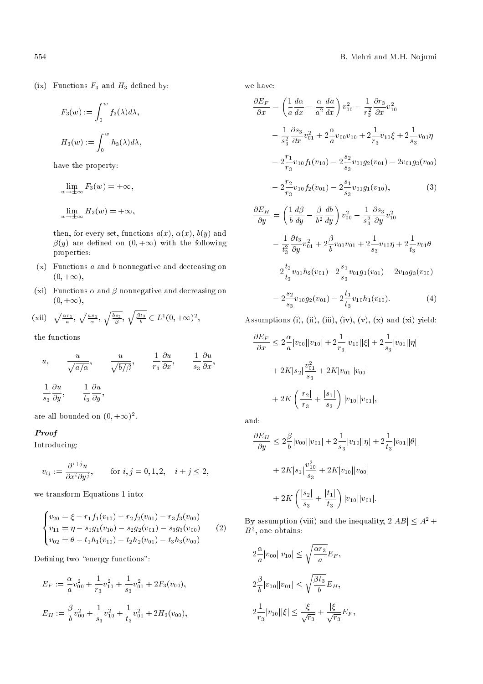(ix) Functions  $F_3$  and  $H_3$  defined by:

$$
F_3(w) := \int_0^w f_3(\lambda) d\lambda,
$$
  

$$
H_3(w) := \int_0^w h_3(\lambda) d\lambda,
$$

have the property:

$$
\lim_{w \to \pm \infty} F_3(w) = +\infty,
$$
  

$$
\lim_{w \to \pm \infty} H_3(w) = +\infty,
$$

then, for every set, functions  $a(x)$ ,  $\alpha(x)$ ,  $b(y)$  and  $\beta(y)$  are defined on  $(0, +\infty)$  with the following properties:

- $(x)$  Functions a and b nonnegative and decreasing on  $(0, +\infty),$
- (xi) Functions  $\alpha$  and  $\beta$  nonnegative and decreasing on  $(0, +\infty),$

(xii) 
$$
\sqrt{\frac{\alpha r_3}{a}}, \sqrt{\frac{as_3}{\alpha}}, \sqrt{\frac{bs_3}{\beta}}, \sqrt{\frac{\beta t_3}{b}} \in L^1(0, +\infty)^2
$$
,

the functions

$$
u, \qquad \frac{u}{\sqrt{a/\alpha}}, \qquad \frac{u}{\sqrt{b/\beta}}, \qquad \frac{1}{r_3} \frac{\partial u}{\partial x}, \qquad \frac{1}{s_3} \frac{\partial u}{\partial x},
$$

$$
\frac{1}{s_3} \frac{\partial u}{\partial y}, \qquad \frac{1}{t_3} \frac{\partial u}{\partial y},
$$

are all bounded on  $(0, +\infty)^2$ .

# Proof

Introducing:

$$
v_{ij} := \frac{\partial^{i+j} u}{\partial x^i \partial y^j}, \quad \text{for } i, j = 0, 1, 2, \quad i + j \le 2,
$$

we transform Equations 1 into:

$$
\begin{cases}\nv_{20} = \xi - r_1 f_1(v_{10}) - r_2 f_2(v_{01}) - r_3 f_3(v_{00}) \\
v_{11} = \eta - s_1 g_1(v_{10}) - s_2 g_2(v_{01}) - s_3 g_3(v_{00}) \\
v_{02} = \theta - t_1 h_1(v_{10}) - t_2 h_2(v_{01}) - t_3 h_3(v_{00})\n\end{cases} (2)
$$

Defining two "energy functions":

$$
E_F := \frac{\alpha}{a}v_{00}^2 + \frac{1}{r_3}v_{10}^2 + \frac{1}{s_3}v_{01}^2 + 2F_3(v_{00}),
$$
  

$$
E_H := \frac{\beta}{b}v_{00}^2 + \frac{1}{s_3}v_{10}^2 + \frac{1}{t_3}v_{01}^2 + 2H_3(v_{00}),
$$

we have:

$$
\frac{\partial E_F}{\partial x} = \left(\frac{1}{a}\frac{d\alpha}{dx} - \frac{\alpha}{a^2}\frac{da}{dx}\right)v_{00}^2 - \frac{1}{r_3^2}\frac{\partial r_3}{\partial x}v_{10}^2 \n- \frac{1}{s_3^2}\frac{\partial s_3}{\partial x}v_{01}^2 + 2\frac{\alpha}{a}v_{00}v_{10} + 2\frac{1}{r_3}v_{10}\xi + 2\frac{1}{s_3}v_{01}\eta \n- 2\frac{r_1}{r_3}v_{10}f_1(v_{10}) - 2\frac{s_2}{s_3}v_{01}g_2(v_{01}) - 2v_{01}g_3(v_{00}) \n- 2\frac{r_2}{r_3}v_{10}f_2(v_{01}) - 2\frac{s_1}{s_3}v_{01}g_1(v_{10}),
$$
\n(3)  
\n
$$
\frac{\partial E_H}{\partial x} = \left(\frac{1}{a}\frac{d\beta}{d\beta} - \frac{\beta}{a}\frac{db}{d\beta}\right)v_{01}^2 - \frac{1}{a}\frac{\partial s_3}{\partial x}v_{10}^2
$$

$$
\frac{\partial E_H}{\partial y} = \left(\frac{1}{b}\frac{d\beta}{dy} - \frac{\beta}{b^2}\frac{db}{dy}\right)v_{00}^2 - \frac{1}{s_3^2}\frac{\partial s_3}{\partial y}v_{10}^2 \n- \frac{1}{t_3^2}\frac{\partial t_3}{\partial y}v_{01}^2 + 2\frac{\beta}{b}v_{00}v_{01} + 2\frac{1}{s_3}v_{10}\eta + 2\frac{1}{t_3}v_{01}\theta \n- 2\frac{t_2}{t_3}v_{01}h_2(v_{01}) - 2\frac{s_1}{s_3}v_{01}g_1(v_{01}) - 2v_{10}g_3(v_{00}) \n- 2\frac{s_2}{s_3}v_{10}g_2(v_{01}) - 2\frac{t_1}{t_3}v_{10}h_1(v_{10}).
$$
\n(4)

Assumptions (i), (ii), (iii), (iv),  $(v)$ ,  $(x)$  and  $(xi)$  yield:

$$
\frac{\partial E_F}{\partial x} \le 2 \frac{\alpha}{a} |v_{00}| |v_{10}| + 2 \frac{1}{r_3} |v_{10}| |\xi| + 2 \frac{1}{s_3} |v_{01}| |\eta|
$$
  
+ 2K|s<sub>2</sub>|  $\frac{v_{01}^2}{s_3}$  + 2K|v<sub>01</sub>||v<sub>00</sub>|  
+ 2K $\left(\frac{|r_2|}{r_3} + \frac{|s_1|}{s_3}\right) |v_{10}| |v_{01}|,$ 

and:

$$
\frac{\partial E_H}{\partial y} \le 2 \frac{\beta}{b} |v_{00}| |v_{01}| + 2 \frac{1}{s_3} |v_{10}| |\eta| + 2 \frac{1}{t_3} |v_{01}| |\theta|
$$
  
+ 2K|s\_1|  $\frac{v_{10}^2}{s_3}$  + 2K|v\_{10}| |v\_{00}|  
+ 2K  $\left( \frac{|s_2|}{s_3} + \frac{|t_1|}{t_3} \right) |v_{10}| |v_{01}|.$ 

By assumption (viii) and the inequality,  $2|AB| \leq A^2 +$  $B^2$ , one obtains:

$$
2\frac{\alpha}{a}|v_{00}||v_{10}| \le \sqrt{\frac{\alpha r_3}{a}}E_F,
$$
  

$$
2\frac{\beta}{b}|v_{00}||v_{01}| \le \sqrt{\frac{\beta t_3}{b}}E_H,
$$
  

$$
2\frac{1}{r_3}|v_{10}||\xi| \le \frac{|\xi|}{\sqrt{r_3}} + \frac{|\xi|}{\sqrt{r_3}}E_F,
$$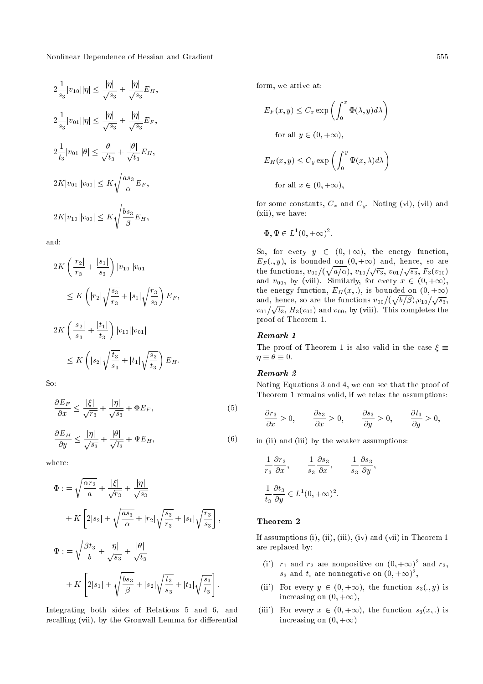Nonlinear Dependence of Hessian and Gradient 555

$$
2\frac{1}{s_3}|v_{10}||\eta| \le \frac{|\eta|}{\sqrt{s_3}} + \frac{|\eta|}{\sqrt{s_3}}E_H,
$$
  
\n
$$
2\frac{1}{s_3}|v_{01}||\eta| \le \frac{|\eta|}{\sqrt{s_3}} + \frac{|\eta|}{\sqrt{s_3}}E_F,
$$
  
\n
$$
2\frac{1}{t_3}|v_{01}||\theta| \le \frac{|\theta|}{\sqrt{t_3}} + \frac{|\theta|}{\sqrt{t_3}}E_H,
$$
  
\n
$$
2K|v_{01}||v_{00}| \le K\sqrt{\frac{as_3}{\alpha}}E_F,
$$
  
\n
$$
2K|v_{10}||v_{00}| \le K\sqrt{\frac{bs_3}{\beta}}E_H,
$$

and:

$$
2K\left(\frac{|r_2|}{r_3} + \frac{|s_1|}{s_3}\right)|v_{10}||v_{01}|
$$
  
\n
$$
\leq K\left(|r_2|\sqrt{\frac{s_3}{r_3}} + |s_1|\sqrt{\frac{r_3}{s_3}}\right)E_F,
$$
  
\n
$$
2K\left(\frac{|s_2|}{s_3} + \frac{|t_1|}{t_3}\right)|v_{10}||v_{01}|
$$

$$
\leq K\left(|s_2|\sqrt{\frac{t_3}{s_3}}+|t_1|\sqrt{\frac{s_3}{t_3}}\right)E_H.
$$

So:

$$
\frac{\partial E_F}{\partial x} \le \frac{|\xi|}{\sqrt{r_3}} + \frac{|\eta|}{\sqrt{s_3}} + \Phi E_F,\tag{5}
$$

$$
\frac{\partial E_H}{\partial y} \le \frac{|\eta|}{\sqrt{s_3}} + \frac{|\theta|}{\sqrt{t_3}} + \Psi E_H,\tag{6}
$$

where:

$$
\Phi := \sqrt{\frac{\alpha r_3}{a}} + \frac{|\xi|}{\sqrt{r_3}} + \frac{|\eta|}{\sqrt{s_3}}
$$
  
+ K  $\left[2|s_2| + \sqrt{\frac{as_3}{\alpha}} + |r_2| \sqrt{\frac{s_3}{r_3}} + |s_1| \sqrt{\frac{r_3}{s_3}}\right],$   

$$
\Psi := \sqrt{\frac{\beta t_3}{b}} + \frac{|\eta|}{\sqrt{s_3}} + \frac{|\theta|}{\sqrt{t_3}}
$$
  
+ K  $\left[2|s_1| + \sqrt{\frac{bs_3}{\beta}} + |s_2| \sqrt{\frac{t_3}{s_3}} + |t_1| \sqrt{\frac{s_3}{t_3}}\right].$ 

Integrating both sides of Relations 5 and 6, and recalling (vii), by the Gronwall Lemma for differential form, we arrive at:

$$
E_F(x, y) \le C_x \exp\left(\int_0^x \Phi(\lambda, y) d\lambda\right)
$$
  
for all  $y \in (0, +\infty)$ ,  

$$
E_H(x, y) \le C_y \exp\left(\int_0^y \Psi(x, \lambda) d\lambda\right)
$$
  
for all  $x \in (0, +\infty)$ ,

for some constants,  $C_x$  and  $C_y$ . Noting (vi), (vii) and (xii), we have:

$$
\Phi, \Psi \in L^1(0, +\infty)^2.
$$

So, for every  $y \in (0, +\infty)$ , the energy function,  $E_F(.,y)$ , is bounded on  $(0, +\infty)$  and, hence, so are the functions,  $v_{00}/(\sqrt{a/\alpha})$ ,  $v_{10}/\sqrt{r_3}$ ,  $v_{01}/\sqrt{s_3}$ ,  $F_3(v_{00})$ and  $v_{00}$ , by (viii). Similarly, for every  $x \in (0, +\infty)$ , the energy function,  $E_H(x, .)$ , is bounded on  $(0, +\infty)$ and, hence, so are the functions  $v_{00}/(\sqrt{b/\beta}),v_{10}/\sqrt{s_3}$ ,  $v_{01}/\sqrt{t_3}$ ,  $H_3(v_{00})$  and  $v_{00}$ , by (viii). This completes the proof of Theorem 1.

## Remark 1

The proof of Theorem 1 is also valid in the case  $\xi \equiv$  $\eta \equiv \theta \equiv 0.$ 

#### Remark 2

Noting Equations 3 and 4, we can see that the proof of Theorem 1 remains valid, if we relax the assumptions:

$$
\frac{\partial r_3}{\partial x} \ge 0, \qquad \frac{\partial s_3}{\partial x} \ge 0, \qquad \frac{\partial s_3}{\partial y} \ge 0, \qquad \frac{\partial t_3}{\partial y} \ge 0,
$$

in (ii) and (iii) by the weaker assumptions:

$$
\frac{1}{r_3} \frac{\partial r_3}{\partial x}, \qquad \frac{1}{s_3} \frac{\partial s_3}{\partial x}, \qquad \frac{1}{s_3} \frac{\partial s_3}{\partial y},
$$

$$
\frac{1}{t_3} \frac{\partial t_3}{\partial y} \in L^1(0, +\infty)^2.
$$

#### Theorem 2

If assumptions  $(i)$ ,  $(ii)$ ,  $(iii)$ ,  $(iv)$  and  $(vii)$  in Theorem 1 are replaced by:

- (i')  $r_1$  and  $r_2$  are nonpositive on  $(0, +\infty)^2$  and  $r_3$ ,  $s_3$  and  $t_s$  are nonnegative on  $(0, +\infty)^2$ ,
- (ii) For every  $y \in (0, +\infty)$ , the function  $s_3(., y)$  is increasing on  $(0, +\infty)$ ,
- (iii) For every  $x \in (0, +\infty)$ , the function  $s_3(x, \cdot)$  is increasing on  $(0, +\infty)$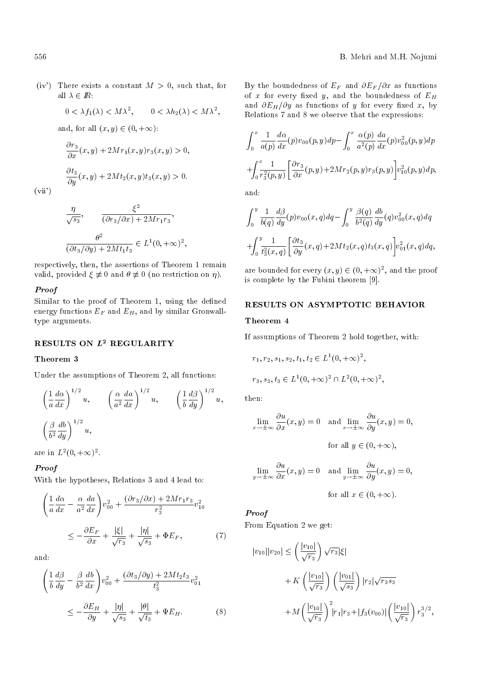(iv) There exists a constant  $M > 0$ , such that, for all  $\lambda \in \mathbb{R}$ :

$$
0 < \lambda f_1(\lambda) < M\lambda^2, \qquad 0 < \lambda h_2(\lambda) < M\lambda^2,
$$

and, for all  $(x, y) \in (0, +\infty)$ :

$$
\frac{\partial r_3}{\partial x}(x, y) + 2Mr_1(x, y)r_3(x, y) > 0,
$$
  

$$
\frac{\partial t_3}{\partial y}(x, y) + 2Mt_2(x, y)t_3(x, y) > 0.
$$

 $(vii')$ 

$$
\frac{\eta}{\sqrt{s_3}}, \qquad \frac{\xi^2}{(\partial r_3/\partial x) + 2Mr_1r_3},
$$

$$
\frac{\theta^2}{(\partial t_3/\partial y) + 2Mt_1t_3} \in L^1(0, +\infty)^2,
$$

respectively, then, the assertions of Theorem 1 remain valid, provided  $\xi \neq 0$  and  $\theta \neq 0$  (no restriction on  $\eta$ ).

#### Proof

Similar to the proof of Theorem 1, using the defined energy functions  $E_F$  and  $E_H$ , and by similar Gronwalltype arguments.

# RESULTS ON  $L^2$  REGULARITY

## Theorem 3

Under the assumptions of Theorem 2, all functions:

$$
\left(\frac{1}{a}\frac{d\alpha}{dx}\right)^{1/2}u, \qquad \left(\frac{\alpha}{a^2}\frac{da}{dx}\right)^{1/2}u, \qquad \left(\frac{1}{b}\frac{d\beta}{dy}\right)^{1/2}u,
$$

$$
\left(\frac{\beta}{b^2}\frac{db}{dy}\right)^{1/2}u,
$$

are in  $L^2(0, +\infty)^2$ .

# Proof

With the hypotheses, Relations 3 and 4 lead to:

$$
\left(\frac{1}{a}\frac{d\alpha}{dx} - \frac{\alpha}{a^2}\frac{da}{dx}\right)v_{00}^2 + \frac{(\partial r_3/\partial x) + 2Mr_1r_3}{r_3^2}v_{10}^2
$$

$$
\leq -\frac{\partial E_F}{\partial x} + \frac{|\xi|}{\sqrt{r_3}} + \frac{|\eta|}{\sqrt{s_3}} + \Phi E_F,
$$
(7)

and:

$$
\left(\frac{1}{b}\frac{d\beta}{dy} - \frac{\beta}{b^2}\frac{db}{dx}\right)v_{00}^2 + \frac{(\partial t_3/\partial y) + 2Mt_2t_3}{t_3^2}v_{01}^2
$$
\n
$$
\leq -\frac{\partial E_H}{\partial y} + \frac{|\eta|}{\sqrt{s_3}} + \frac{|\theta|}{\sqrt{t_3}} + \Psi E_H.
$$
\n(8)

By the boundedness of  $E_F$  and  $\partial E_F/\partial x$  as functions of x for every fixed y, and the boundedness of  $E_H$ and  $\partial E_H/\partial y$  as functions of y for every fixed x, by Relations 7 and 8 we observe that the expressions:

$$
\int_0^x \frac{1}{a(p)} \frac{d\alpha}{dx}(p) v_{00}(p, y) dp - \int_0^x \frac{\alpha(p)}{a^2(p)} \frac{da}{dx}(p) v_{00}^2(p, y) dp
$$
  
+
$$
\int_0^x \frac{1}{r_3^2(p, y)} \left[ \frac{\partial r_3}{\partial x}(p, y) + 2Mr_2(p, y) r_3(p, y) \right] v_{10}^2(p, y) dp,
$$

and:

$$
\int_0^y \frac{1}{b(q)} \frac{d\beta}{dy}(p) v_{00}(x, q) dq - \int_0^y \frac{\beta(q)}{b^2(q)} \frac{db}{dy}(q) v_{00}^2(x, q) dq
$$
  
+
$$
\int_0^y \frac{1}{t_3^2(x, q)} \left[ \frac{\partial t_3}{\partial y}(x, q) + 2M t_2(x, q) t_3(x, q) \right] v_{01}^2(x, q) dq,
$$

are bounded for every  $(x, y) \in (0, +\infty)^2$ , and the proof is complete by the Fubini theorem [9].

### RESULTS ON ASYMPTOTIC BEHAVIOR

#### Theorem 4

If assumptions of Theorem 2 hold together, with:

$$
r_1, r_2, s_1, s_2, t_1, t_2 \in L^1(0, +\infty)^2,
$$
  

$$
r_3, s_3, t_3 \in L^1(0, +\infty)^2 \cap L^2(0, +\infty)^2,
$$

then:

$$
\lim_{x \to \pm \infty} \frac{\partial u}{\partial x}(x, y) = 0 \text{ and } \lim_{x \to \pm \infty} \frac{\partial u}{\partial y}(x, y) = 0,
$$
  
for all  $y \in (0, +\infty)$ ,

$$
\lim_{y \to \pm \infty} \frac{\partial u}{\partial x}(x, y) = 0 \quad \text{and} \quad \lim_{y \to \pm \infty} \frac{\partial u}{\partial y}(x, y) = 0,
$$

for all 
$$
x \in (0, +\infty)
$$
.

# Proof

From Equation 2 we get:

$$
|v_{10}||v_{20}| \leq \left(\frac{|v_{10}|}{\sqrt{r_3}}\right) \sqrt{r_3} |\xi|
$$
  
+  $K\left(\frac{|v_{10}|}{\sqrt{r_3}}\right) \left(\frac{|v_{01}|}{\sqrt{s_3}}\right) |r_2| \sqrt{r_3 s_3}$   
+  $M\left(\frac{|v_{10}|}{\sqrt{r_3}}\right)^2 |r_1|r_3 + |f_3(v_{00})| \left(\frac{|v_{10}|}{\sqrt{r_3}}\right) r_3^{3/2},$